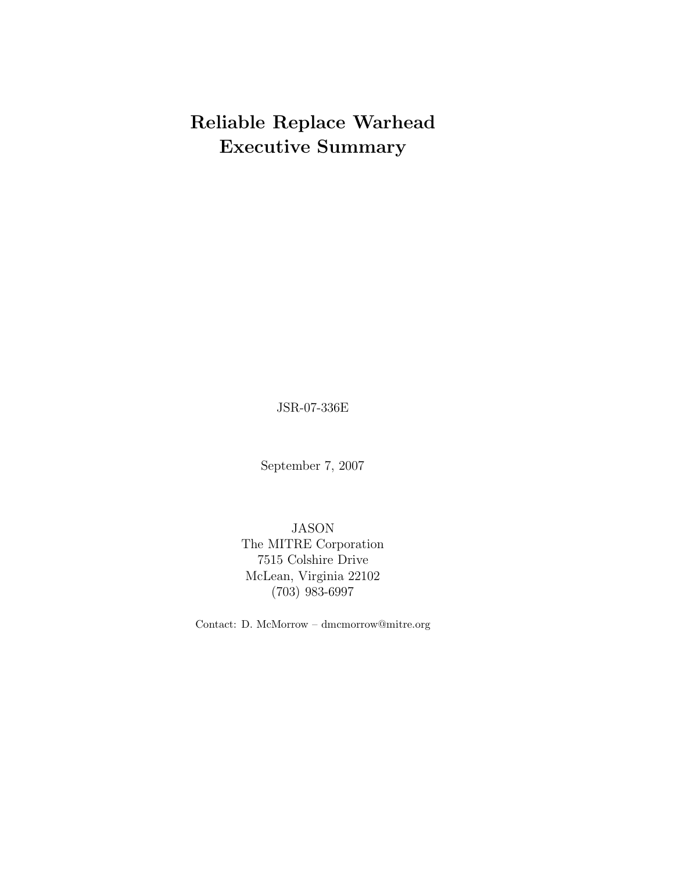# **Reliable Replace Warhead Executive Summary**

JSR-07-336E

September 7, 2007

JASON The MITRE Corporation 7515 Colshire Drive McLean, Virginia 22102 (703) 983-6997

Contact: D. McMorrow – dmcmorrow@mitre.org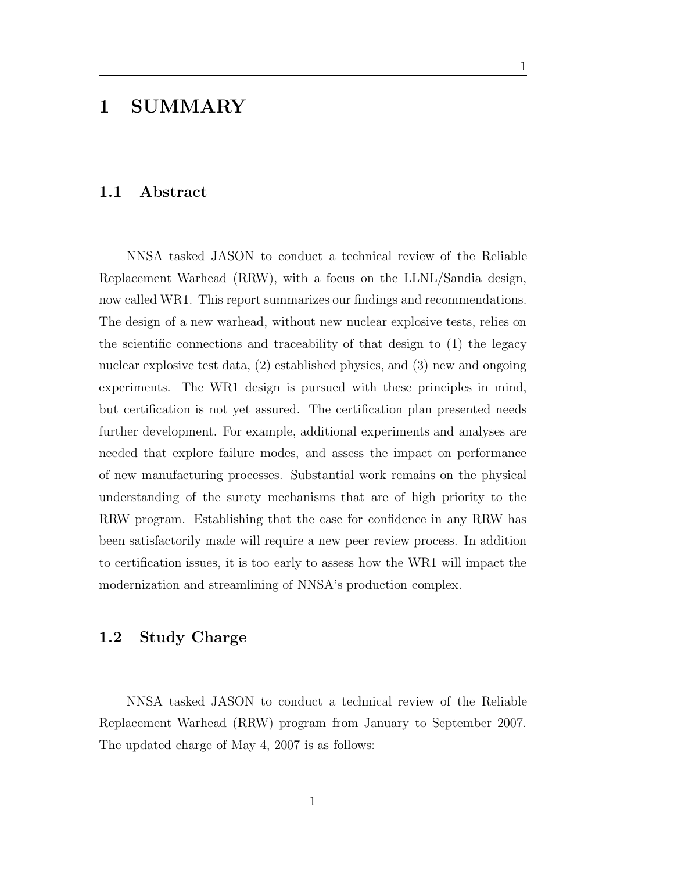## **1 SUMMARY**

#### **1.1 Abstract**

NNSA tasked JASON to conduct a technical review of the Reliable Replacement Warhead (RRW), with a focus on the LLNL/Sandia design, now called WR1. This report summarizes our findings and recommendations. The design of a new warhead, without new nuclear explosive tests, relies on the scientific connections and traceability of that design to (1) the legacy nuclear explosive test data, (2) established physics, and (3) new and ongoing experiments. The WR1 design is pursued with these principles in mind, but certification is not yet assured. The certification plan presented needs further development. For example, additional experiments and analyses are needed that explore failure modes, and assess the impact on performance of new manufacturing processes. Substantial work remains on the physical understanding of the surety mechanisms that are of high priority to the RRW program. Establishing that the case for confidence in any RRW has been satisfactorily made will require a new peer review process. In addition to certification issues, it is too early to assess how the WR1 will impact the modernization and streamlining of NNSA's production complex.

1

#### **1.2 Study Charge**

NNSA tasked JASON to conduct a technical review of the Reliable Replacement Warhead (RRW) program from January to September 2007. The updated charge of May 4, 2007 is as follows: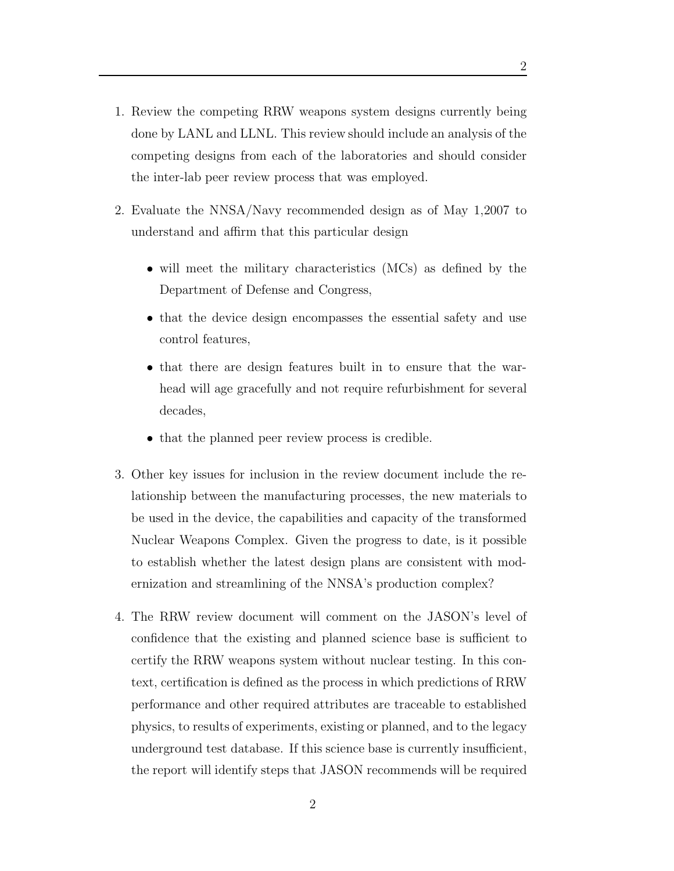- 1. Review the competing RRW weapons system designs currently being done by LANL and LLNL. This review should include an analysis of the competing designs from each of the laboratories and should consider the inter-lab peer review process that was employed.
- 2. Evaluate the NNSA/Navy recommended design as of May 1,2007 to understand and affirm that this particular design
	- will meet the military characteristics (MCs) as defined by the Department of Defense and Congress,
	- that the device design encompasses the essential safety and use control features,
	- that there are design features built in to ensure that the warhead will age gracefully and not require refurbishment for several decades,
	- that the planned peer review process is credible.
- 3. Other key issues for inclusion in the review document include the relationship between the manufacturing processes, the new materials to be used in the device, the capabilities and capacity of the transformed Nuclear Weapons Complex. Given the progress to date, is it possible to establish whether the latest design plans are consistent with modernization and streamlining of the NNSA's production complex?
- 4. The RRW review document will comment on the JASON's level of confidence that the existing and planned science base is sufficient to certify the RRW weapons system without nuclear testing. In this context, certification is defined as the process in which predictions of RRW performance and other required attributes are traceable to established physics, to results of experiments, existing or planned, and to the legacy underground test database. If this science base is currently insufficient, the report will identify steps that JASON recommends will be required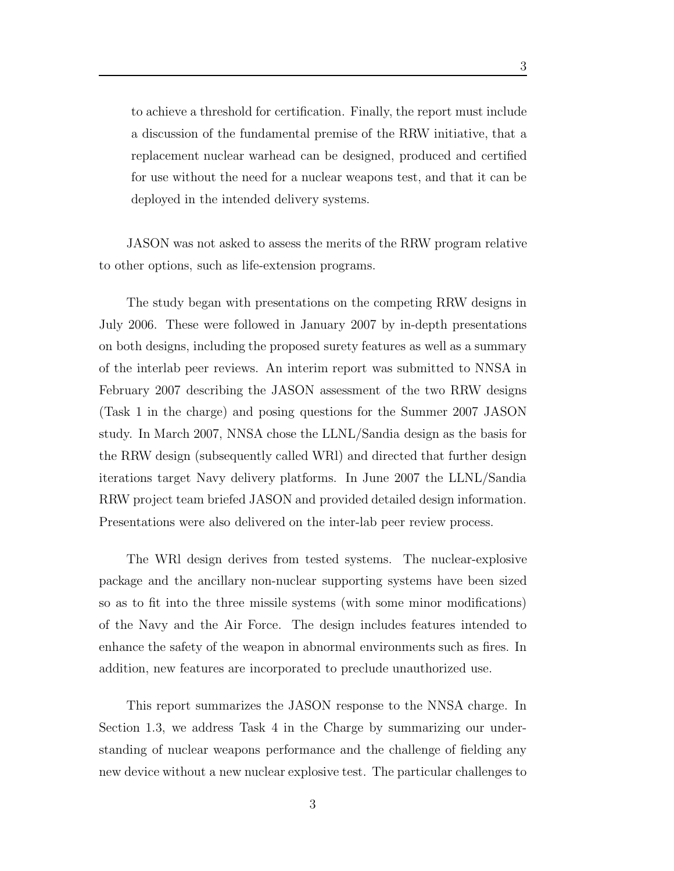to achieve a threshold for certification. Finally, the report must include a discussion of the fundamental premise of the RRW initiative, that a replacement nuclear warhead can be designed, produced and certified for use without the need for a nuclear weapons test, and that it can be deployed in the intended delivery systems.

JASON was not asked to assess the merits of the RRW program relative to other options, such as life-extension programs.

The study began with presentations on the competing RRW designs in July 2006. These were followed in January 2007 by in-depth presentations on both designs, including the proposed surety features as well as a summary of the interlab peer reviews. An interim report was submitted to NNSA in February 2007 describing the JASON assessment of the two RRW designs (Task 1 in the charge) and posing questions for the Summer 2007 JASON study. In March 2007, NNSA chose the LLNL/Sandia design as the basis for the RRW design (subsequently called WRl) and directed that further design iterations target Navy delivery platforms. In June 2007 the LLNL/Sandia RRW project team briefed JASON and provided detailed design information. Presentations were also delivered on the inter-lab peer review process.

The WRl design derives from tested systems. The nuclear-explosive package and the ancillary non-nuclear supporting systems have been sized so as to fit into the three missile systems (with some minor modifications) of the Navy and the Air Force. The design includes features intended to enhance the safety of the weapon in abnormal environments such as fires. In addition, new features are incorporated to preclude unauthorized use.

This report summarizes the JASON response to the NNSA charge. In Section 1.3, we address Task 4 in the Charge by summarizing our understanding of nuclear weapons performance and the challenge of fielding any new device without a new nuclear explosive test. The particular challenges to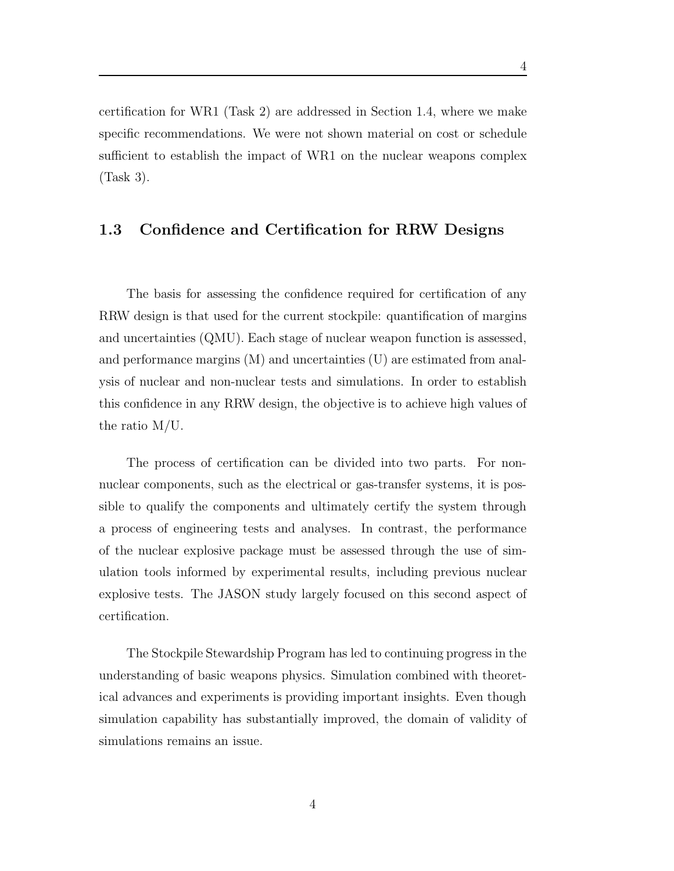certification for WR1 (Task 2) are addressed in Section 1.4, where we make specific recommendations. We were not shown material on cost or schedule sufficient to establish the impact of WR1 on the nuclear weapons complex (Task 3).

#### **1.3 Confidence and Certification for RRW Designs**

The basis for assessing the confidence required for certification of any RRW design is that used for the current stockpile: quantification of margins and uncertainties (QMU). Each stage of nuclear weapon function is assessed, and performance margins (M) and uncertainties (U) are estimated from analysis of nuclear and non-nuclear tests and simulations. In order to establish this confidence in any RRW design, the objective is to achieve high values of the ratio M/U.

The process of certification can be divided into two parts. For nonnuclear components, such as the electrical or gas-transfer systems, it is possible to qualify the components and ultimately certify the system through a process of engineering tests and analyses. In contrast, the performance of the nuclear explosive package must be assessed through the use of simulation tools informed by experimental results, including previous nuclear explosive tests. The JASON study largely focused on this second aspect of certification.

The Stockpile Stewardship Program has led to continuing progress in the understanding of basic weapons physics. Simulation combined with theoretical advances and experiments is providing important insights. Even though simulation capability has substantially improved, the domain of validity of simulations remains an issue.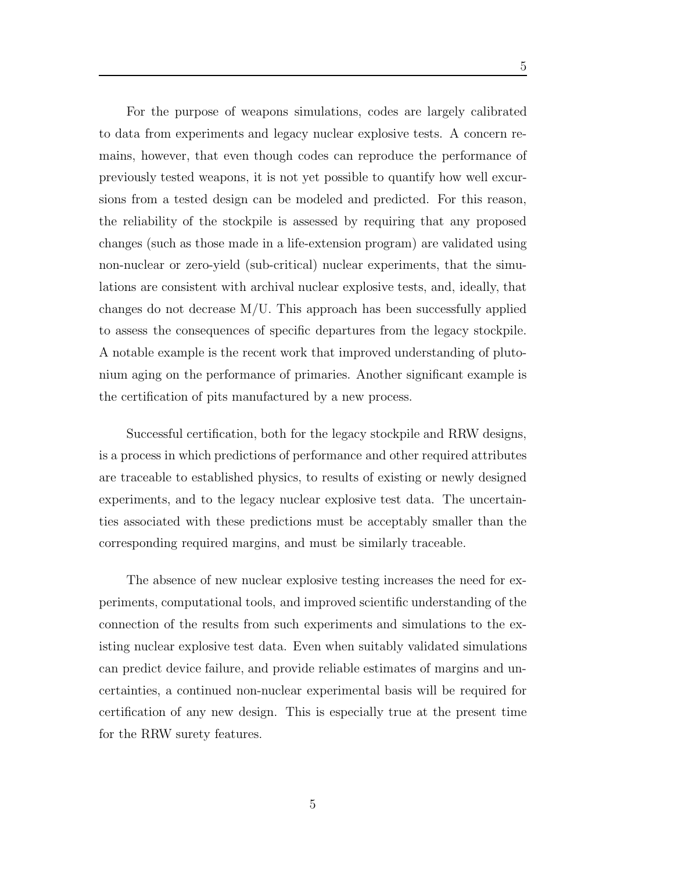For the purpose of weapons simulations, codes are largely calibrated to data from experiments and legacy nuclear explosive tests. A concern remains, however, that even though codes can reproduce the performance of previously tested weapons, it is not yet possible to quantify how well excursions from a tested design can be modeled and predicted. For this reason, the reliability of the stockpile is assessed by requiring that any proposed changes (such as those made in a life-extension program) are validated using non-nuclear or zero-yield (sub-critical) nuclear experiments, that the simulations are consistent with archival nuclear explosive tests, and, ideally, that changes do not decrease  $M/U$ . This approach has been successfully applied to assess the consequences of specific departures from the legacy stockpile. A notable example is the recent work that improved understanding of plutonium aging on the performance of primaries. Another significant example is the certification of pits manufactured by a new process.

Successful certification, both for the legacy stockpile and RRW designs, is a process in which predictions of performance and other required attributes are traceable to established physics, to results of existing or newly designed experiments, and to the legacy nuclear explosive test data. The uncertainties associated with these predictions must be acceptably smaller than the corresponding required margins, and must be similarly traceable.

The absence of new nuclear explosive testing increases the need for experiments, computational tools, and improved scientific understanding of the connection of the results from such experiments and simulations to the existing nuclear explosive test data. Even when suitably validated simulations can predict device failure, and provide reliable estimates of margins and uncertainties, a continued non-nuclear experimental basis will be required for certification of any new design. This is especially true at the present time for the RRW surety features.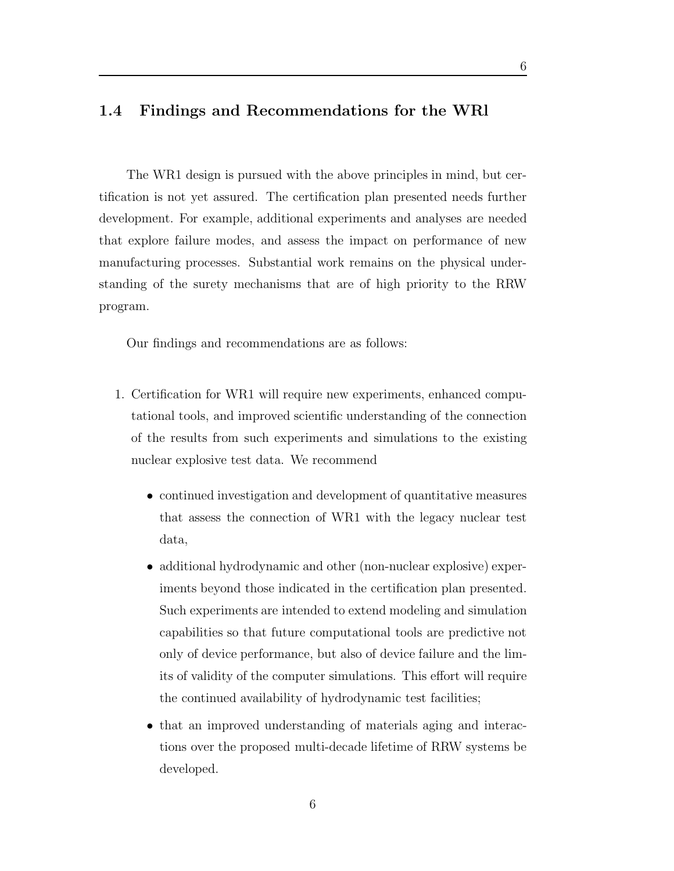### **1.4 Findings and Recommendations for the WRl**

The WR1 design is pursued with the above principles in mind, but certification is not yet assured. The certification plan presented needs further development. For example, additional experiments and analyses are needed that explore failure modes, and assess the impact on performance of new manufacturing processes. Substantial work remains on the physical understanding of the surety mechanisms that are of high priority to the RRW program.

Our findings and recommendations are as follows:

- 1. Certification for WR1 will require new experiments, enhanced computational tools, and improved scientific understanding of the connection of the results from such experiments and simulations to the existing nuclear explosive test data. We recommend
	- continued investigation and development of quantitative measures that assess the connection of WR1 with the legacy nuclear test data,
	- additional hydrodynamic and other (non-nuclear explosive) experiments beyond those indicated in the certification plan presented. Such experiments are intended to extend modeling and simulation capabilities so that future computational tools are predictive not only of device performance, but also of device failure and the limits of validity of the computer simulations. This effort will require the continued availability of hydrodynamic test facilities;
	- that an improved understanding of materials aging and interactions over the proposed multi-decade lifetime of RRW systems be developed.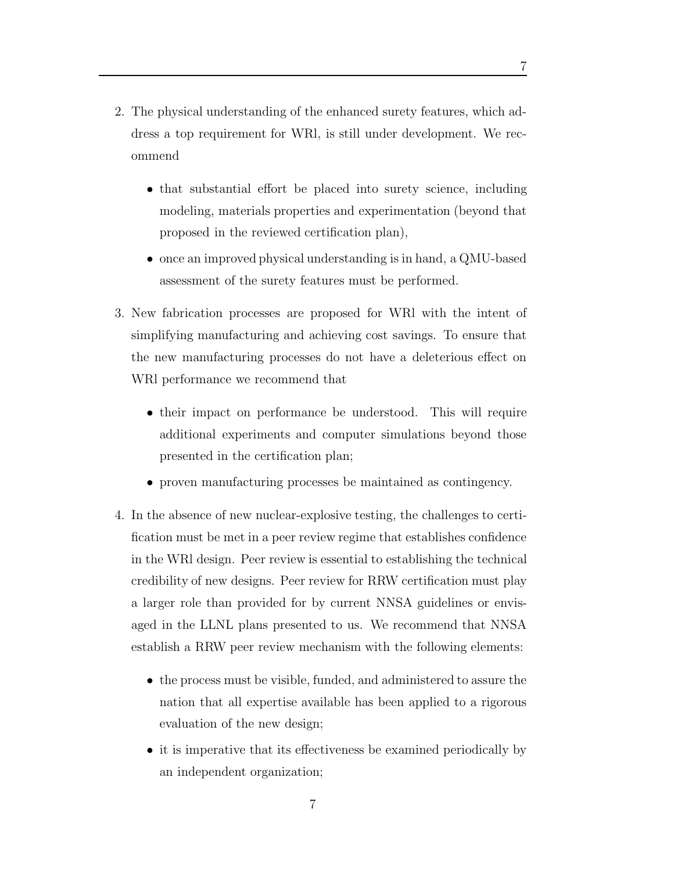- 2. The physical understanding of the enhanced surety features, which address a top requirement for WRl, is still under development. We recommend
	- that substantial effort be placed into surety science, including modeling, materials properties and experimentation (beyond that proposed in the reviewed certification plan),
	- once an improved physical understanding is in hand, a QMU-based assessment of the surety features must be performed.
- 3. New fabrication processes are proposed for WRl with the intent of simplifying manufacturing and achieving cost savings. To ensure that the new manufacturing processes do not have a deleterious effect on WRl performance we recommend that
	- *•* their impact on performance be understood. This will require additional experiments and computer simulations beyond those presented in the certification plan;
	- *•* proven manufacturing processes be maintained as contingency.
- 4. In the absence of new nuclear-explosive testing, the challenges to certification must be met in a peer review regime that establishes confidence in the WRl design. Peer review is essential to establishing the technical credibility of new designs. Peer review for RRW certification must play a larger role than provided for by current NNSA guidelines or envisaged in the LLNL plans presented to us. We recommend that NNSA establish a RRW peer review mechanism with the following elements:
	- the process must be visible, funded, and administered to assure the nation that all expertise available has been applied to a rigorous evaluation of the new design;
	- it is imperative that its effectiveness be examined periodically by an independent organization;